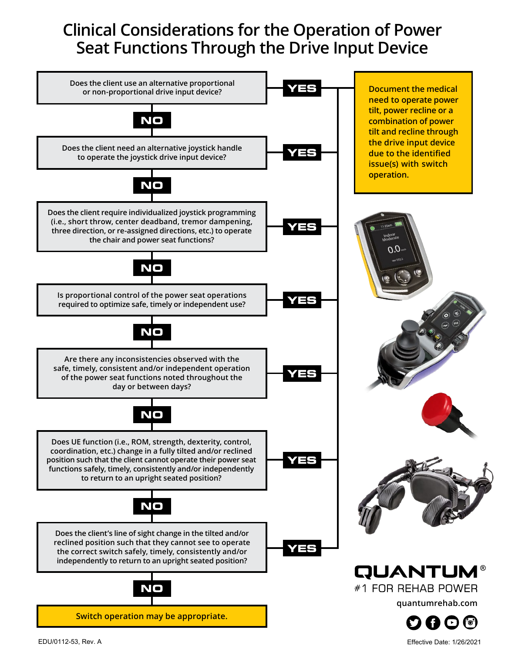# **Clinical Considerations for the Operation of Power Seat Functions Through the Drive Input Device**